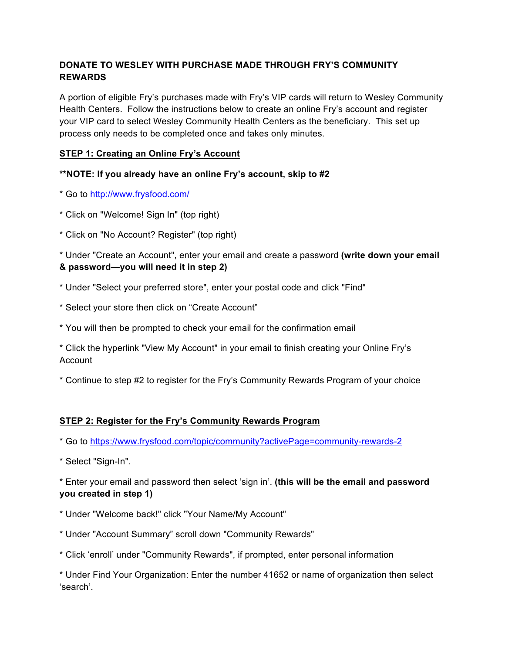## **DONATE TO WESLEY WITH PURCHASE MADE THROUGH FRY'S COMMUNITY REWARDS**

A portion of eligible Fry's purchases made with Fry's VIP cards will return to Wesley Community Health Centers. Follow the instructions below to create an online Fry's account and register your VIP card to select Wesley Community Health Centers as the beneficiary. This set up process only needs to be completed once and takes only minutes.

## **STEP 1: Creating an Online Fry's Account**

## **\*\*NOTE: If you already have an online Fry's account, skip to #2**

- \* Go to http://www.frysfood.com/
- \* Click on "Welcome! Sign In" (top right)
- \* Click on "No Account? Register" (top right)

\* Under "Create an Account", enter your email and create a password **(write down your email & password—you will need it in step 2)**

- \* Under "Select your preferred store", enter your postal code and click "Find"
- \* Select your store then click on "Create Account"
- \* You will then be prompted to check your email for the confirmation email
- \* Click the hyperlink "View My Account" in your email to finish creating your Online Fry's Account
- \* Continue to step #2 to register for the Fry's Community Rewards Program of your choice

## **STEP 2: Register for the Fry's Community Rewards Program**

\* Go to https://www.frysfood.com/topic/community?activePage=community-rewards-2

\* Select "Sign-In".

\* Enter your email and password then select 'sign in'. **(this will be the email and password you created in step 1)**

- \* Under "Welcome back!" click "Your Name/My Account"
- \* Under "Account Summary" scroll down "Community Rewards"
- \* Click 'enroll' under "Community Rewards", if prompted, enter personal information

\* Under Find Your Organization: Enter the number 41652 or name of organization then select 'search'.